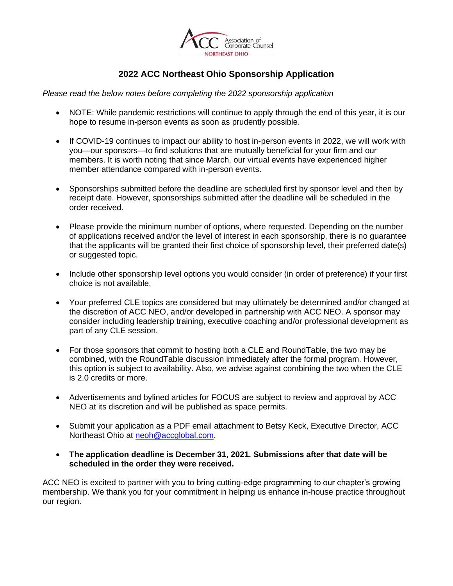

## **2022 ACC Northeast Ohio Sponsorship Application**

*Please read the below notes before completing the 2022 sponsorship application*

- NOTE: While pandemic restrictions will continue to apply through the end of this year, it is our hope to resume in-person events as soon as prudently possible.
- If COVID-19 continues to impact our ability to host in-person events in 2022, we will work with you—our sponsors—to find solutions that are mutually beneficial for your firm and our members. It is worth noting that since March, our virtual events have experienced higher member attendance compared with in-person events.
- Sponsorships submitted before the deadline are scheduled first by sponsor level and then by receipt date. However, sponsorships submitted after the deadline will be scheduled in the order received.
- Please provide the minimum number of options, where requested. Depending on the number of applications received and/or the level of interest in each sponsorship, there is no guarantee that the applicants will be granted their first choice of sponsorship level, their preferred date(s) or suggested topic.
- Include other sponsorship level options you would consider (in order of preference) if your first choice is not available.
- Your preferred CLE topics are considered but may ultimately be determined and/or changed at the discretion of ACC NEO, and/or developed in partnership with ACC NEO. A sponsor may consider including leadership training, executive coaching and/or professional development as part of any CLE session.
- For those sponsors that commit to hosting both a CLE and RoundTable, the two may be combined, with the RoundTable discussion immediately after the formal program. However, this option is subject to availability. Also, we advise against combining the two when the CLE is 2.0 credits or more.
- Advertisements and bylined articles for FOCUS are subject to review and approval by ACC NEO at its discretion and will be published as space permits.
- Submit your application as a PDF email attachment to Betsy Keck, Executive Director, ACC Northeast Ohio at [neoh@accglobal.com.](mailto:neoh@accglobal.com)
- **The application deadline is December 31, 2021. Submissions after that date will be scheduled in the order they were received.**

ACC NEO is excited to partner with you to bring cutting-edge programming to our chapter's growing membership. We thank you for your commitment in helping us enhance in-house practice throughout our region.